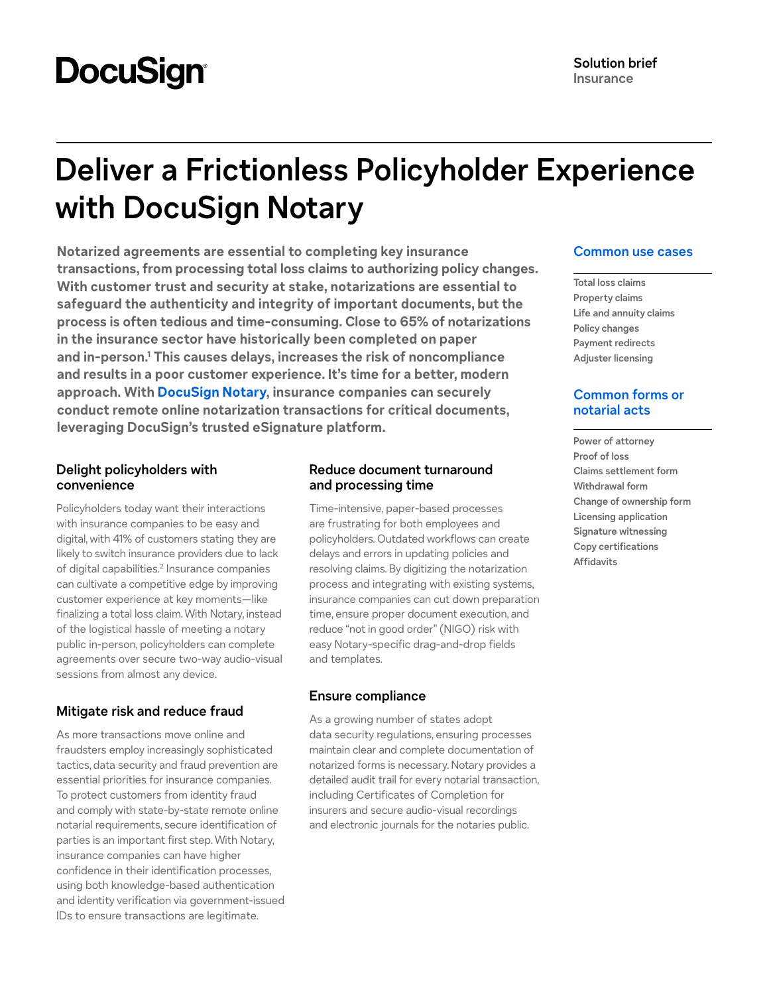# **DocuSign**

## **Deliver a Frictionless Policyholder Experience with DocuSign Notary**

**Notarized agreements are essential to completing key insurance transactions, from processing total loss claims to authorizing policy changes. With customer trust and security at stake, notarizations are essential to safeguard the authenticity and integrity of important documents, but the process is often tedious and time-consuming. Close to 65% of notarizations in the insurance sector have historically been completed on paper and in-person.[1](#page-1-0) This causes delays, increases the risk of noncompliance and results in a poor customer experience. It's time for a better, modern approach. With [DocuSign Notary](https://www.docusign.com/products/notary), insurance companies can securely conduct remote online notarization transactions for critical documents, leveraging DocuSign's trusted eSignature platform.**

#### **Delight policyholders with convenience**

Policyholders today want their interactions with insurance companies to be easy and digital, with 41% of customers stating they are likely to switch insurance providers due to lack of digital capabilities.<sup>2</sup> Insurance companies can cultivate a competitive edge by improving customer experience at key moments—like finalizing a total loss claim. With Notary, instead of the logistical hassle of meeting a notary public in-person, policyholders can complete agreements over secure two-way audio-visual sessions from almost any device.

#### **Mitigate risk and reduce fraud**

As more transactions move online and fraudsters employ increasingly sophisticated tactics, data security and fraud prevention are essential priorities for insurance companies. To protect customers from identity fraud and comply with state-by-state remote online notarial requirements, secure identification of parties is an important first step. With Notary, insurance companies can have higher confidence in their identification processes, using both knowledge-based authentication and identity verification via government-issued IDs to ensure transactions are legitimate.

#### **Reduce document turnaround and processing time**

Time-intensive, paper-based processes are frustrating for both employees and policyholders. Outdated workflows can create delays and errors in updating policies and resolving claims. By digitizing the notarization process and integrating with existing systems, insurance companies can cut down preparation time, ensure proper document execution, and reduce "not in good order" (NIGO) risk with easy Notary-specific drag-and-drop fields and templates.

#### **Ensure compliance**

As a growing number of states adopt data security regulations, ensuring processes maintain clear and complete documentation of notarized forms is necessary. Notary provides a detailed audit trail for every notarial transaction, including Certificates of Completion for insurers and secure audio-visual recordings and electronic journals for the notaries public.

#### **Common use cases**

**Total loss claims Property claims Life and annuity claims Policy changes Payment redirects Adjuster licensing**

#### **Common forms or notarial acts**

**Power of attorney Proof of loss Claims settlement form Withdrawal form Change of ownership form Licensing application Signature witnessing Copy certifications Affidavits**